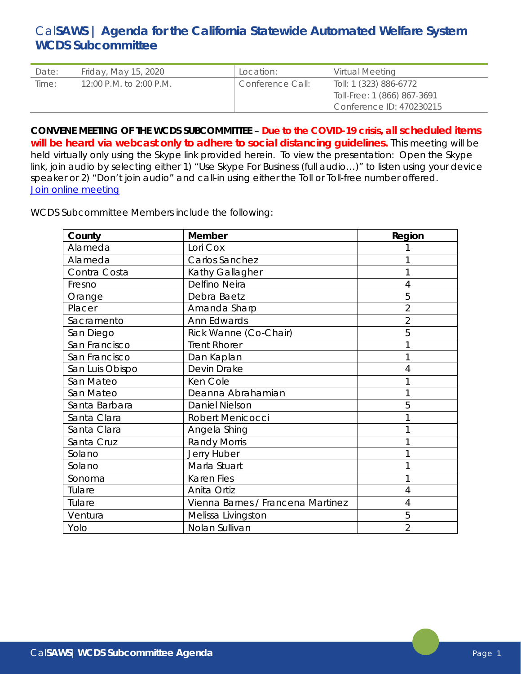# Cal**SAWS | Agenda for the California Statewide Automated Welfare System WCDS Subcommittee**

| Date: | Friday, May 15, 2020    | Location:        | Virtual Meeting             |
|-------|-------------------------|------------------|-----------------------------|
| Time: | 12:00 P.M. to 2:00 P.M. | Conference Call: | Toll: 1 (323) 886-6772      |
|       |                         |                  | Toll-Free: 1 (866) 867-3691 |
|       |                         |                  | Conference ID: 470230215    |

**CONVENE MEETING OF THE WCDS SUBCOMMITTEE** – **Due to the COVID-19 crisis, all scheduled items will be heard via webcast only to adhere to social distancing guidelines.** This meeting will be held virtually only using the Skype link provided herein. To view the presentation: Open the Skype link, join audio by selecting either 1) "Use Skype For Business (full audio…)" to listen using your device speaker or 2) "Don't join audio" and call-in using either the Toll or Toll-free number offered. [Join online meeting](https://meet.lync.com/calaces.org/drohans/F6X3BEZZ)

WCDS Subcommittee Members include the following:

| County          | Member                            | Region         |
|-----------------|-----------------------------------|----------------|
| Alameda         | Lori Cox                          |                |
| Alameda         | Carlos Sanchez                    |                |
| Contra Costa    | Kathy Gallagher                   |                |
| Fresno          | Delfino Neira                     | 4              |
| Orange          | Debra Baetz                       | 5              |
| Placer          | Amanda Sharp                      | $\overline{2}$ |
| Sacramento      | Ann Edwards                       | 2              |
| San Diego       | Rick Wanne (Co-Chair)             | 5              |
| San Francisco   | <b>Trent Rhorer</b>               |                |
| San Francisco   | Dan Kaplan                        |                |
| San Luis Obispo | Devin Drake                       | 4              |
| San Mateo       | Ken Cole                          |                |
| San Mateo       | Deanna Abrahamian                 |                |
| Santa Barbara   | <b>Daniel Nielson</b>             | 5              |
| Santa Clara     | Robert Menicocci                  |                |
| Santa Clara     | Angela Shing                      |                |
| Santa Cruz      | <b>Randy Morris</b>               |                |
| Solano          | Jerry Huber                       |                |
| Solano          | Marla Stuart                      |                |
| Sonoma          | <b>Karen Fies</b>                 |                |
| Tulare          | Anita Ortiz                       | 4              |
| Tulare          | Vienna Barnes / Francena Martinez | 4              |
| Ventura         | Melissa Livingston                | 5              |
| Yolo            | Nolan Sullivan                    | $\overline{2}$ |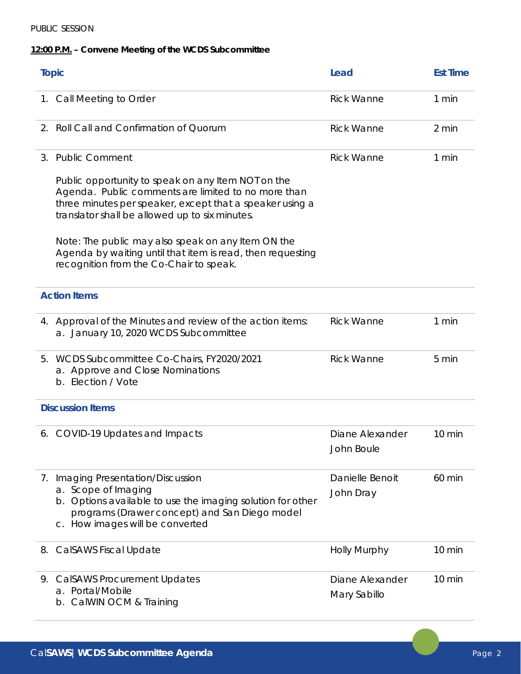### PUBLIC SESSION

## **12:00 P.M. – Convene Meeting of the WCDS Subcommittee**

| <b>Topic</b> |                                                                                                                                                                                                                         | Lead                            | <b>Est Time</b> |
|--------------|-------------------------------------------------------------------------------------------------------------------------------------------------------------------------------------------------------------------------|---------------------------------|-----------------|
|              | 1. Call Meeting to Order                                                                                                                                                                                                | <b>Rick Wanne</b>               | 1 min           |
| 2.           | Roll Call and Confirmation of Quorum                                                                                                                                                                                    | <b>Rick Wanne</b>               | 2 min           |
| 3.           | <b>Public Comment</b>                                                                                                                                                                                                   | <b>Rick Wanne</b>               | 1 min           |
|              | Public opportunity to speak on any Item NOT on the<br>Agenda. Public comments are limited to no more than<br>three minutes per speaker, except that a speaker using a<br>translator shall be allowed up to six minutes. |                                 |                 |
|              | Note: The public may also speak on any Item ON the<br>Agenda by waiting until that item is read, then requesting<br>recognition from the Co-Chair to speak.                                                             |                                 |                 |
|              | <b>Action Items</b>                                                                                                                                                                                                     |                                 |                 |
|              | 4. Approval of the Minutes and review of the action items:<br>a. January 10, 2020 WCDS Subcommittee                                                                                                                     | <b>Rick Wanne</b>               | 1 min           |
| 5.           | WCDS Subcommittee Co-Chairs, FY2020/2021<br>a. Approve and Close Nominations<br>b. Election / Vote                                                                                                                      | <b>Rick Wanne</b>               | 5 min           |
|              | <b>Discussion Items</b>                                                                                                                                                                                                 |                                 |                 |
|              | 6. COVID-19 Updates and Impacts                                                                                                                                                                                         | Diane Alexander<br>John Boule   | 10 min          |
| 7.           | Imaging Presentation/Discussion<br>a. Scope of Imaging<br>b. Options available to use the imaging solution for other<br>programs (Drawer concept) and San Diego model<br>c. How images will be converted                | Danielle Benoit<br>John Dray    | 60 min          |
|              | 8. CalSAWS Fiscal Update                                                                                                                                                                                                | <b>Holly Murphy</b>             | 10 min          |
| 9.           | <b>CalSAWS Procurement Updates</b><br>Portal/Mobile<br>a.<br>CalWIN OCM & Training<br>b.                                                                                                                                | Diane Alexander<br>Mary Sabillo | 10 min          |